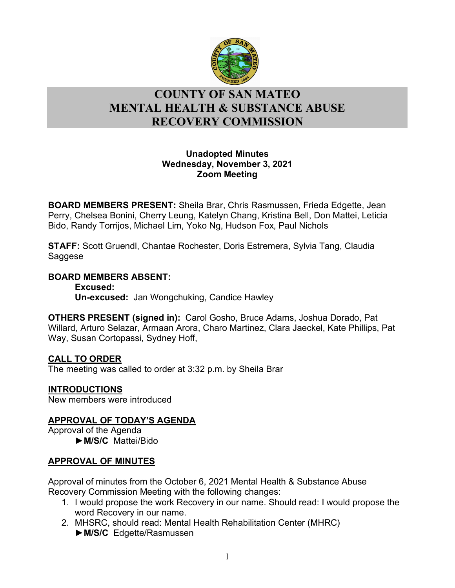

# l **COUNTY OF SAN MATEO MENTAL HEALTH & SUBSTANCE ABUSE RECOVERY COMMISSION**

### **Unadopted Minutes Wednesday, November 3, 2021 Zoom Meeting**

**BOARD MEMBERS PRESENT:** Sheila Brar, Chris Rasmussen, Frieda Edgette, Jean Perry, Chelsea Bonini, Cherry Leung, Katelyn Chang, Kristina Bell, Don Mattei, Leticia Bido, Randy Torrijos, Michael Lim, Yoko Ng, Hudson Fox, Paul Nichols

**STAFF:** Scott Gruendl, Chantae Rochester, Doris Estremera, Sylvia Tang, Claudia Saggese

## **BOARD MEMBERS ABSENT:**

**Excused: Un-excused:** Jan Wongchuking, Candice Hawley

**OTHERS PRESENT (signed in):** Carol Gosho, Bruce Adams, Joshua Dorado, Pat Willard, Arturo Selazar, Armaan Arora, Charo Martinez, Clara Jaeckel, Kate Phillips, Pat Way, Susan Cortopassi, Sydney Hoff,

## **CALL TO ORDER**

The meeting was called to order at 3:32 p.m. by Sheila Brar

## **INTRODUCTIONS**

New members were introduced

## **APPROVAL OF TODAY'S AGENDA**

Approval of the Agenda ►**M/S/C** Mattei/Bido

## **APPROVAL OF MINUTES**

Approval of minutes from the October 6, 2021 Mental Health & Substance Abuse Recovery Commission Meeting with the following changes:

- 1. I would propose the work Recovery in our name. Should read: I would propose the word Recovery in our name.
- 2. MHSRC, should read: Mental Health Rehabilitation Center (MHRC) ►**M/S/C** Edgette/Rasmussen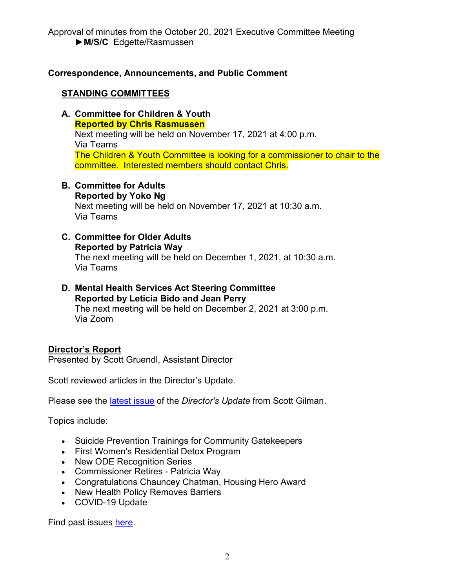## **Correspondence, Announcements, and Public Comment**

### **STANDING COMMITTEES**

- **A. Committee for Children & Youth Reported by Chris Rasmussen** Next meeting will be held on November 17, 2021 at 4:00 p.m. Via Teams The Children & Youth Committee is looking for a commissioner to chair to the committee. Interested members should contact Chris.
- **B. Committee for Adults Reported by Yoko Ng** Next meeting will be held on November 17, 2021 at 10:30 a.m. Via Teams
- **C. Committee for Older Adults Reported by Patricia Way** The next meeting will be held on December 1, 2021, at 10:30 a.m. Via Teams
- **D. Mental Health Services Act Steering Committee Reported by Leticia Bido and Jean Perry** The next meeting will be held on December 2, 2021 at 3:00 p.m. Via Zoom

#### **Director's Report**

Presented by Scott Gruendl, Assistant Director

Scott reviewed articles in the Director's Update.

Please see the [latest issue](https://www.smchealth.org/sites/main/files/file-attachments/directors_update_nov_2021.pdf?1635360189) of the *Director's Update* from Scott Gilman.

Topics include:

- Suicide Prevention Trainings for Community Gatekeepers
- First Women's Residential Detox Program
- New ODE Recognition Series
- Commissioner Retires Patricia Way
- Congratulations Chauncey Chatman, Housing Hero Award
- New Health Policy Removes Barriers
- COVID-19 Update

Find past issues [here.](https://www.smchealth.org/bhrs/directors-update)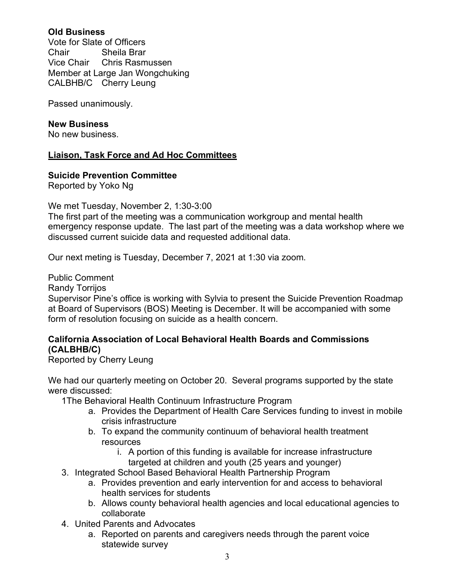## **Old Business**

Vote for Slate of Officers Chair Sheila Brar Vice Chair Chris Rasmussen Member at Large Jan Wongchuking CALBHB/C Cherry Leung

Passed unanimously.

### **New Business**

No new business.

## **Liaison, Task Force and Ad Hoc Committees**

### **Suicide Prevention Committee**

Reported by Yoko Ng

We met Tuesday, November 2, 1:30-3:00

The first part of the meeting was a communication workgroup and mental health emergency response update. The last part of the meeting was a data workshop where we discussed current suicide data and requested additional data.

Our next meting is Tuesday, December 7, 2021 at 1:30 via zoom.

Public Comment

Randy Torrijos

Supervisor Pine's office is working with Sylvia to present the Suicide Prevention Roadmap at Board of Supervisors (BOS) Meeting is December. It will be accompanied with some form of resolution focusing on suicide as a health concern.

### **California Association of Local Behavioral Health Boards and Commissions (CALBHB/C)**

Reported by Cherry Leung

We had our quarterly meeting on October 20. Several programs supported by the state were discussed:

1The Behavioral Health Continuum Infrastructure Program

- a. Provides the Department of Health Care Services funding to invest in mobile crisis infrastructure
- b. To expand the community continuum of behavioral health treatment resources
	- i. A portion of this funding is available for increase infrastructure
	- targeted at children and youth (25 years and younger)
- 3. Integrated School Based Behavioral Health Partnership Program
	- a. Provides prevention and early intervention for and access to behavioral health services for students
	- b. Allows county behavioral health agencies and local educational agencies to collaborate
- 4. United Parents and Advocates
	- a. Reported on parents and caregivers needs through the parent voice statewide survey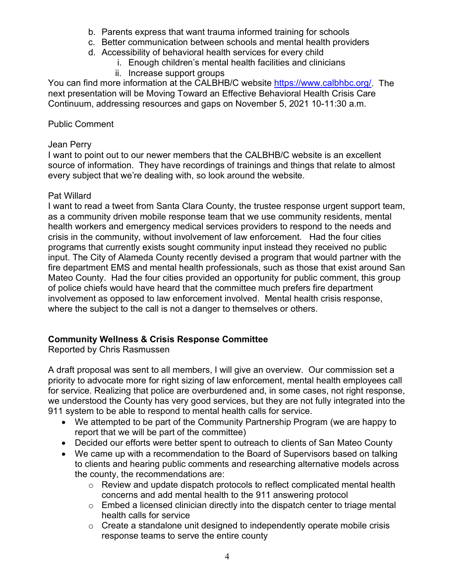- b. Parents express that want trauma informed training for schools
- c. Better communication between schools and mental health providers
- d. Accessibility of behavioral health services for every child
	- i. Enough children's mental health facilities and clinicians
	- ii. Increase support groups

You can find more information at the CALBHB/C website [https://www.calbhbc.org/.](https://www.calbhbc.org/) The next presentation will be Moving Toward an Effective Behavioral Health Crisis Care Continuum, addressing resources and gaps on November 5, 2021 10-11:30 a.m.

## Public Comment

## Jean Perry

I want to point out to our newer members that the CALBHB/C website is an excellent source of information. They have recordings of trainings and things that relate to almost every subject that we're dealing with, so look around the website.

## Pat Willard

I want to read a tweet from Santa Clara County, the trustee response urgent support team, as a community driven mobile response team that we use community residents, mental health workers and emergency medical services providers to respond to the needs and crisis in the community, without involvement of law enforcement. Had the four cities programs that currently exists sought community input instead they received no public input. The City of Alameda County recently devised a program that would partner with the fire department EMS and mental health professionals, such as those that exist around San Mateo County. Had the four cities provided an opportunity for public comment, this group of police chiefs would have heard that the committee much prefers fire department involvement as opposed to law enforcement involved. Mental health crisis response, where the subject to the call is not a danger to themselves or others.

## **Community Wellness & Crisis Response Committee**

Reported by Chris Rasmussen

A draft proposal was sent to all members, I will give an overview. Our commission set a priority to advocate more for right sizing of law enforcement, mental health employees call for service. Realizing that police are overburdened and, in some cases, not right response, we understood the County has very good services, but they are not fully integrated into the 911 system to be able to respond to mental health calls for service.

- We attempted to be part of the Community Partnership Program (we are happy to report that we will be part of the committee)
- Decided our efforts were better spent to outreach to clients of San Mateo County
- We came up with a recommendation to the Board of Supervisors based on talking to clients and hearing public comments and researching alternative models across the county, the recommendations are:
	- o Review and update dispatch protocols to reflect complicated mental health concerns and add mental health to the 911 answering protocol
	- $\circ$  Embed a licensed clinician directly into the dispatch center to triage mental health calls for service
	- $\circ$  Create a standalone unit designed to independently operate mobile crisis response teams to serve the entire county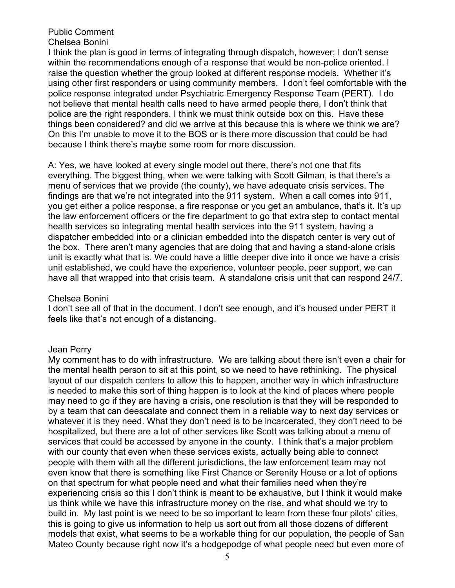#### Public Comment Chelsea Bonini

I think the plan is good in terms of integrating through dispatch, however; I don't sense within the recommendations enough of a response that would be non-police oriented. I raise the question whether the group looked at different response models. Whether it's using other first responders or using community members. I don't feel comfortable with the police response integrated under Psychiatric Emergency Response Team (PERT). I do not believe that mental health calls need to have armed people there, I don't think that police are the right responders. I think we must think outside box on this. Have these things been considered? and did we arrive at this because this is where we think we are? On this I'm unable to move it to the BOS or is there more discussion that could be had because I think there's maybe some room for more discussion.

A: Yes, we have looked at every single model out there, there's not one that fits everything. The biggest thing, when we were talking with Scott Gilman, is that there's a menu of services that we provide (the county), we have adequate crisis services. The findings are that we're not integrated into the 911 system. When a call comes into 911, you get either a police response, a fire response or you get an ambulance, that's it. It's up the law enforcement officers or the fire department to go that extra step to contact mental health services so integrating mental health services into the 911 system, having a dispatcher embedded into or a clinician embedded into the dispatch center is very out of the box. There aren't many agencies that are doing that and having a stand-alone crisis unit is exactly what that is. We could have a little deeper dive into it once we have a crisis unit established, we could have the experience, volunteer people, peer support, we can have all that wrapped into that crisis team. A standalone crisis unit that can respond 24/7.

#### Chelsea Bonini

I don't see all of that in the document. I don't see enough, and it's housed under PERT it feels like that's not enough of a distancing.

#### Jean Perry

My comment has to do with infrastructure. We are talking about there isn't even a chair for the mental health person to sit at this point, so we need to have rethinking. The physical layout of our dispatch centers to allow this to happen, another way in which infrastructure is needed to make this sort of thing happen is to look at the kind of places where people may need to go if they are having a crisis, one resolution is that they will be responded to by a team that can deescalate and connect them in a reliable way to next day services or whatever it is they need. What they don't need is to be incarcerated, they don't need to be hospitalized, but there are a lot of other services like Scott was talking about a menu of services that could be accessed by anyone in the county. I think that's a major problem with our county that even when these services exists, actually being able to connect people with them with all the different jurisdictions, the law enforcement team may not even know that there is something like First Chance or Serenity House or a lot of options on that spectrum for what people need and what their families need when they're experiencing crisis so this I don't think is meant to be exhaustive, but I think it would make us think while we have this infrastructure money on the rise, and what should we try to build in. My last point is we need to be so important to learn from these four pilots' cities, this is going to give us information to help us sort out from all those dozens of different models that exist, what seems to be a workable thing for our population, the people of San Mateo County because right now it's a hodgepodge of what people need but even more of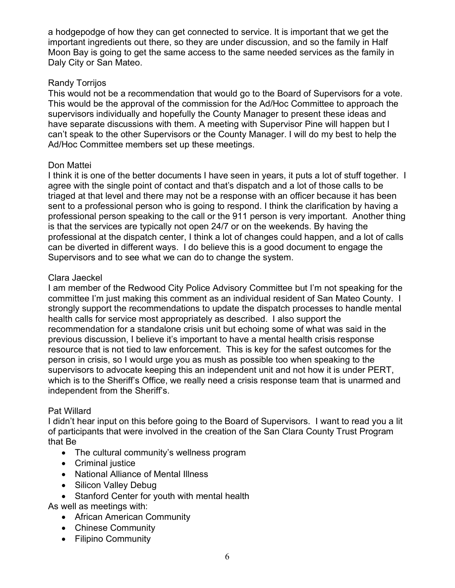a hodgepodge of how they can get connected to service. It is important that we get the important ingredients out there, so they are under discussion, and so the family in Half Moon Bay is going to get the same access to the same needed services as the family in Daly City or San Mateo.

## Randy Torrijos

This would not be a recommendation that would go to the Board of Supervisors for a vote. This would be the approval of the commission for the Ad/Hoc Committee to approach the supervisors individually and hopefully the County Manager to present these ideas and have separate discussions with them. A meeting with Supervisor Pine will happen but I can't speak to the other Supervisors or the County Manager. I will do my best to help the Ad/Hoc Committee members set up these meetings.

## Don Mattei

I think it is one of the better documents I have seen in years, it puts a lot of stuff together. I agree with the single point of contact and that's dispatch and a lot of those calls to be triaged at that level and there may not be a response with an officer because it has been sent to a professional person who is going to respond. I think the clarification by having a professional person speaking to the call or the 911 person is very important. Another thing is that the services are typically not open 24/7 or on the weekends. By having the professional at the dispatch center, I think a lot of changes could happen, and a lot of calls can be diverted in different ways. I do believe this is a good document to engage the Supervisors and to see what we can do to change the system.

## Clara Jaeckel

I am member of the Redwood City Police Advisory Committee but I'm not speaking for the committee I'm just making this comment as an individual resident of San Mateo County. I strongly support the recommendations to update the dispatch processes to handle mental health calls for service most appropriately as described. I also support the recommendation for a standalone crisis unit but echoing some of what was said in the previous discussion, I believe it's important to have a mental health crisis response resource that is not tied to law enforcement. This is key for the safest outcomes for the person in crisis, so I would urge you as mush as possible too when speaking to the supervisors to advocate keeping this an independent unit and not how it is under PERT, which is to the Sheriff's Office, we really need a crisis response team that is unarmed and independent from the Sheriff's.

## Pat Willard

I didn't hear input on this before going to the Board of Supervisors. I want to read you a lit of participants that were involved in the creation of the San Clara County Trust Program that Be

- The cultural community's wellness program
- Criminal justice
- National Alliance of Mental Illness
- Silicon Valley Debug
- Stanford Center for youth with mental health

As well as meetings with:

- African American Community
- Chinese Community
- Filipino Community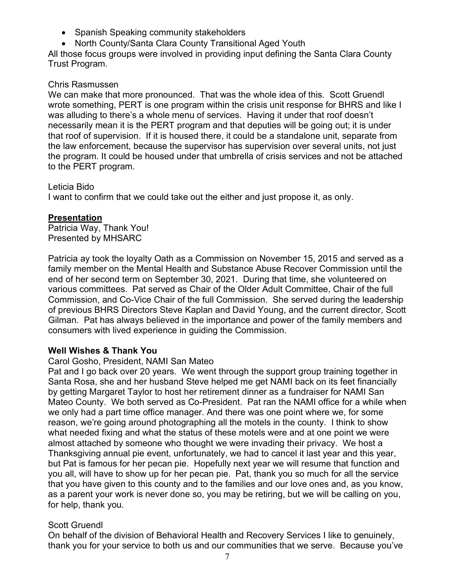- Spanish Speaking community stakeholders
- North County/Santa Clara County Transitional Aged Youth

All those focus groups were involved in providing input defining the Santa Clara County Trust Program.

#### Chris Rasmussen

We can make that more pronounced. That was the whole idea of this. Scott Gruendl wrote something, PERT is one program within the crisis unit response for BHRS and like I was alluding to there's a whole menu of services. Having it under that roof doesn't necessarily mean it is the PERT program and that deputies will be going out; it is under that roof of supervision. If it is housed there, it could be a standalone unit, separate from the law enforcement, because the supervisor has supervision over several units, not just the program. It could be housed under that umbrella of crisis services and not be attached to the PERT program.

Leticia Bido I want to confirm that we could take out the either and just propose it, as only.

## **Presentation**

Patricia Way, Thank You! Presented by MHSARC

Patricia ay took the loyalty Oath as a Commission on November 15, 2015 and served as a family member on the Mental Health and Substance Abuse Recover Commission until the end of her second term on September 30, 2021. During that time, she volunteered on various committees. Pat served as Chair of the Older Adult Committee, Chair of the full Commission, and Co-Vice Chair of the full Commission. She served during the leadership of previous BHRS Directors Steve Kaplan and David Young, and the current director, Scott Gilman. Pat has always believed in the importance and power of the family members and consumers with lived experience in guiding the Commission.

#### **Well Wishes & Thank You**

#### Carol Gosho, President, NAMI San Mateo

Pat and I go back over 20 years. We went through the support group training together in Santa Rosa, she and her husband Steve helped me get NAMI back on its feet financially by getting Margaret Taylor to host her retirement dinner as a fundraiser for NAMI San Mateo County. We both served as Co-President. Pat ran the NAMI office for a while when we only had a part time office manager. And there was one point where we, for some reason, we're going around photographing all the motels in the county. I think to show what needed fixing and what the status of these motels were and at one point we were almost attached by someone who thought we were invading their privacy. We host a Thanksgiving annual pie event, unfortunately, we had to cancel it last year and this year, but Pat is famous for her pecan pie. Hopefully next year we will resume that function and you all, will have to show up for her pecan pie. Pat, thank you so much for all the service that you have given to this county and to the families and our love ones and, as you know, as a parent your work is never done so, you may be retiring, but we will be calling on you, for help, thank you.

## Scott Gruendl

On behalf of the division of Behavioral Health and Recovery Services I like to genuinely, thank you for your service to both us and our communities that we serve. Because you've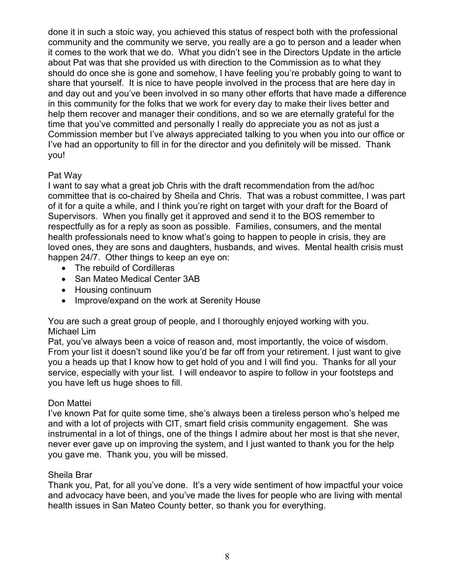done it in such a stoic way, you achieved this status of respect both with the professional community and the community we serve, you really are a go to person and a leader when it comes to the work that we do. What you didn't see in the Directors Update in the article about Pat was that she provided us with direction to the Commission as to what they should do once she is gone and somehow, I have feeling you're probably going to want to share that yourself. It is nice to have people involved in the process that are here day in and day out and you've been involved in so many other efforts that have made a difference in this community for the folks that we work for every day to make their lives better and help them recover and manager their conditions, and so we are eternally grateful for the time that you've committed and personally I really do appreciate you as not as just a Commission member but I've always appreciated talking to you when you into our office or I've had an opportunity to fill in for the director and you definitely will be missed. Thank you!

## Pat Way

I want to say what a great job Chris with the draft recommendation from the ad/hoc committee that is co-chaired by Sheila and Chris. That was a robust committee, I was part of it for a quite a while, and I think you're right on target with your draft for the Board of Supervisors. When you finally get it approved and send it to the BOS remember to respectfully as for a reply as soon as possible. Families, consumers, and the mental health professionals need to know what's going to happen to people in crisis, they are loved ones, they are sons and daughters, husbands, and wives. Mental health crisis must happen 24/7. Other things to keep an eye on:

- The rebuild of Cordilleras
- San Mateo Medical Center 3AB
- Housing continuum
- Improve/expand on the work at Serenity House

You are such a great group of people, and I thoroughly enjoyed working with you. Michael Lim

Pat, you've always been a voice of reason and, most importantly, the voice of wisdom. From your list it doesn't sound like you'd be far off from your retirement. I just want to give you a heads up that I know how to get hold of you and I will find you. Thanks for all your service, especially with your list. I will endeavor to aspire to follow in your footsteps and you have left us huge shoes to fill.

## Don Mattei

I've known Pat for quite some time, she's always been a tireless person who's helped me and with a lot of projects with CIT, smart field crisis community engagement. She was instrumental in a lot of things, one of the things I admire about her most is that she never, never ever gave up on improving the system, and I just wanted to thank you for the help you gave me. Thank you, you will be missed.

## Sheila Brar

Thank you, Pat, for all you've done. It's a very wide sentiment of how impactful your voice and advocacy have been, and you've made the lives for people who are living with mental health issues in San Mateo County better, so thank you for everything.